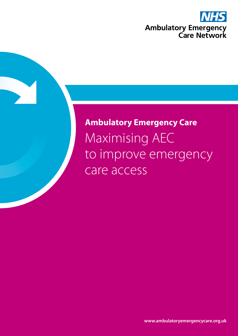

# **Ambulatory Emergency Care** Maximising AEC to improve emergency care access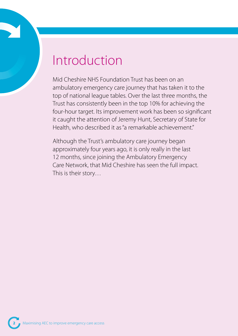# Introduction

Mid Cheshire NHS Foundation Trust has been on an ambulatory emergency care journey that has taken it to the top of national league tables. Over the last three months, the Trust has consistently been in the top 10% for achieving the four-hour target. Its improvement work has been so significant it caught the attention of Jeremy Hunt, Secretary of State for Health, who described it as "a remarkable achievement."

Although the Trust's ambulatory care journey began approximately four years ago, it is only really in the last 12 months, since joining the Ambulatory Emergency Care Network, that Mid Cheshire has seen the full impact. This is their story…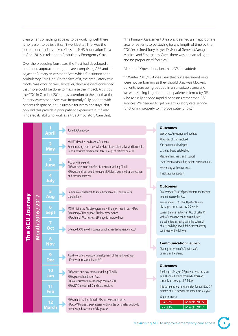Even when something appears to be working well, there is no reason to believe it can't work better. That was the opinion of clinicians at Mid Cheshire NHS Foundation Trust in April 2016 in relation to Ambulatory Emergency Care.

Over the preceding four years, the Trust had developed a combined approach to urgent care, comprising A&E and an adjacent Primary Assessment Area which functioned as an Ambulatory Care Unit. On the face of it, the ambulatory care model was working well, however, clinicians were convinced that more could be done to maximise the impact. A visit by the CQC in October 2014 drew attention to the fact that the Primary Assessment Area was frequently fully bedded with patients despite being unsuitable for overnight stays. Not only did this provide a poor patient experience but it also hindered its ability to work as a true Ambulatory Care Unit.

"The Primary Assessment Area was deemed an inappropriate area for patients to be staying for any length of time by the CQC," explained Tony Mayer, Divisional General Manager Medical and Emergency Care, "there was no natural light and no proper ward facilities."

#### Director of Operations, Jonathan O'Brien added:

"In Winter 2015/16 it was clear that our assessment units were not performing as they should. A&E was blocked, patients were being bedded in an unsuitable area and we were seeing large number of patients referred by GPs who actually needed rapid diagnostics rather than A&E services. We needed to get our ambulatory care service functioning properly to improve patient flow."

| The ACU Journey | Month 2016 / 2017 | <b>April</b>                   | Joined AEC network                                                                                                                                                                   | <b>Outcomes</b><br>Weekly ACU meetings and updates<br>All grades of staff involved<br>'Can do culture' developed<br>Data dashboard established<br>Measurements visits and support<br>Use of resources including patient questionnaires<br>Networking with other trusts<br>Trust Executive support                                                                                      |                                                                                                                                                                                               |
|-----------------|-------------------|--------------------------------|--------------------------------------------------------------------------------------------------------------------------------------------------------------------------------------|----------------------------------------------------------------------------------------------------------------------------------------------------------------------------------------------------------------------------------------------------------------------------------------------------------------------------------------------------------------------------------------|-----------------------------------------------------------------------------------------------------------------------------------------------------------------------------------------------|
|                 |                   | $\overline{2}$<br><b>May</b>   | MCHFT closed 28 beds and ACU opens<br>Senior nursing team meet with HR to discuss alternative workforce roles<br>Band 4 assistant practitioner's takes groups of patients on ACU     |                                                                                                                                                                                                                                                                                                                                                                                        |                                                                                                                                                                                               |
|                 |                   | 3<br><b>June</b>               | ACU criteria expands<br>PDSA to determine benefits of consultants taking GP call<br>PDSA use of driver board to support KPIs for triage, medical assessment<br>and consultant review |                                                                                                                                                                                                                                                                                                                                                                                        |                                                                                                                                                                                               |
|                 |                   | July                           |                                                                                                                                                                                      | <b>Outcomes</b>                                                                                                                                                                                                                                                                                                                                                                        |                                                                                                                                                                                               |
|                 |                   | 5<br>Aug                       | Communication launch to share benefits of ACU service with<br>stakeholders                                                                                                           | An average of 34% of patients from the medical<br>take are assessed in ACU<br>An average of 52% of ACU patients were<br>discharged home over last 20 weeks<br>Current trends in activity in ACU of patient's<br>with AEC sensitive conditions indicate<br>a 6 patients/day saving with the potential<br>of 3.76 bed days saved if the current activity<br>continues for the full year. |                                                                                                                                                                                               |
|                 |                   | $6\phantom{1}6$<br><b>Sept</b> | MCHFT joins the AMM programme with project lead in post PDSA<br>Extending ACU to support ED flow at weekends<br>PDSA trial of ACU nurse at ED triage to improve flow                 |                                                                                                                                                                                                                                                                                                                                                                                        |                                                                                                                                                                                               |
|                 |                   | 7<br>Oct                       | Extended ACU into clinic space which expanded capacity in ACU                                                                                                                        |                                                                                                                                                                                                                                                                                                                                                                                        |                                                                                                                                                                                               |
|                 |                   | 8<br><b>Nov</b>                |                                                                                                                                                                                      | <b>Communication Launch</b><br>Sharing the vision of ACU with staff,                                                                                                                                                                                                                                                                                                                   |                                                                                                                                                                                               |
|                 |                   | 9<br><b>Dec</b>                | AMM workshop to support development of the frailty pathway,<br>effective short stay unit and ACU                                                                                     | patients and relatives.                                                                                                                                                                                                                                                                                                                                                                |                                                                                                                                                                                               |
|                 |                   | 10<br>Jan                      | PDSA with nurse co-ordinators taking GP calls<br>PDSA patient huddles on AMU<br>PDSA assessment areas manage beds on SSU                                                             | <b>Outcomes</b><br>in ACU and who then required admission is                                                                                                                                                                                                                                                                                                                           | The length of stay of GP patients who are seen<br>currently an average of 7.4 days<br>This compares to a length of stay for admitted GP<br>patients of 11.8 days for the same time last year. |
|                 |                   | 11<br><b>Feb</b>               | PDSA RATS model in ED and extra cubicles                                                                                                                                             |                                                                                                                                                                                                                                                                                                                                                                                        |                                                                                                                                                                                               |
|                 |                   | 12<br><u>March</u>             | PDSA trial of frailty criteria in ED and assessment areas.<br>PDSA AMU nurse triage/assessment includes designated cubicle to<br>provide rapid assessment/ diagnostics               | ED performance<br>84.52%<br><b>March 2016</b><br><b>March 2017</b><br>97.23%                                                                                                                                                                                                                                                                                                           |                                                                                                                                                                                               |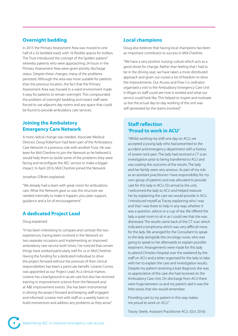# **Overnight bedding**

In 2015 the Primary Assessment Area was moved to one half of a 32-bedded ward, with 16 flexible spaces for trolleys. The Trust introduced the concept of the "golden patient" whereby patients who were approaching 24 hours in the Primary Assessment Area were given priority discharge status. Despite these changes, many of the problems persisted. Although the area was more suitable for patients than the previous location, the fact that the Primary Assessment Area was housed in a ward environment made it easy for patients to remain overnight. This compounded the problem of overnight bedding and meant staff were forced to use adjacent day rooms and any space that could be found to provide ambulatory care services.

# **Joining the Ambulatory Emergency Care Network**

A more radical change was needed. Associate Medical Director, Doug Robertson had been part of the Ambulatory Care Network in a previous role with another Trust. He was keen for Mid Cheshire to join the Network as he believed it would help them to tackle some of the problems they were facing and reconfigure the AEC service to make a bigger impact. In April 2016, Mid Cheshire joined the Network.

Jonathan O'Brien explained:

"We already had a team with great vision for ambulatory care. What the Network gave us was the structure we needed internally to make it happen, plus peer support, guidance and a lot of encouragement."

# **A dedicated Project Lead**

#### Doug explained:

"It has been interesting to compare and contrast the two experiences, having been involved in the Network on two separate occasions and implementing an improved ambulatory care service both times. I've noticed that certain things have worked particularly well for us in Mid Cheshire. Having the funding for a dedicated individual to drive the project forward without the pressure of their clinical responsibilities has been a particular benefit. Loraine Cornes was appointed as our Project Lead. As a clinical matron, Loraine has a background in acute care but also has received training in improvement science from the Network and at A&E improvement events. She has been instrumental in driving the project forward and keeping staff engaged and informed. Loraine met with staff on a weekly basis to build momentum and address any problems as they arose."

## **Local champions**

Doug also believes that having local champions has been an important contributor to success in Mid Cheshire:

"We have a very positive nursing culture which acts as a good driver for change. Rather than feeling that I had to be in the driving seat, we have taken a more distributed approach and given our nurses a lot of freedom to drive the improvements. Our Access and Flow Co-ordinator organised a visit to the Ambulatory Emergency Care Unit in Wigan so staff could see how it worked and what our service could look like. This helped to inspire and motivate us but the actual day-to-day working of the unit was self-generated by the teams involved."

# **Staff reflection 'Proud to work in ACU'**

"Whilst working my shift one day on ACU, we accepted a young lady who had presented to the accident and emergency department with a history of severe neck pain. The lady had received a CT scan investigation prior to being transferred to ACU and was waiting the outcome of the results. The lady and her family were very anxious. As part of my role as an assistant practitioner I have responsibility for my own group of patients and was allocated to provide care for this lady in ACU. On arrival to the unit, I welcomed the lady to ACU and helped reassure her by explaining the care we would provide in ACU. I introduced myself as Tracey explaining who I was and that I was there to help in any way, whether it was a question, advice or a cup of tea. We offered the lady a quiet room to sit in as I could see that she was distressed. The results came back of the CT scan which indicated a lymphoma which was very difficult news for the lady. We arranged for the Consultant to speak to the lady alongside the oncology nurse, who was going to speak to her afterwards to explain possible treatment. Arrangements were made for this lady to attend Christies Hospital over the weekend by the staff on ACU and a letter organised for the lady to take with her to explain the care and investigation results. Despite my patient receiving a bad diagnosis she was so appreciative of the care she had received on the Ambulatory Care Unit. On discharge from ACU there were hugs between us and my patient said it was the little extras that she would remember.

Providing care to my patient in this way makes me proud to work on ACU."

Tracey Steele, Assistant Practitioner ACU. (Oct 2016)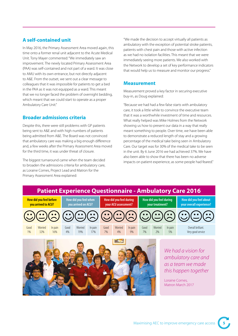# **A self-contained unit**

In May 2016, the Primary Assessment Area moved again, this time onto a former renal unit adjacent to the Acute Medical Unit. Tony Mayer commented: "We immediately saw an improvement. The newly located Primary Assessment Area (PAA) was self-contained and not part of a ward. It was close to AMU with its own entrance, but not directly adjacent to A&E. From the outset, we sent out a clear message to colleagues that it was impossible for patients to get a bed in the PAA as it was not equipped as a ward. This meant that we no longer faced the problem of overnight bedding, which meant that we could start to operate as a proper Ambulatory Care Unit."

## **Broader admissions criteria**

Despite this, there were still problems with GP patients being sent to A&E and with high numbers of patients being admitted from A&E. The Board was not convinced that ambulatory care was making a big enough difference and, a few weeks after the Primary Assessment Area moved for the third time, it was under threat of closure.

The biggest turnaround came when the team decided to broaden the admissions criteria for ambulatory care, as Loraine Cornes, Project Lead and Matron for the Primary Assessment Area explained:

"We made the decision to accept virtually all patients as ambulatory with the exception of potential stroke patients, patients with chest pain and those with active infection as we had no isolation facilities. This meant that we were immediately seeing more patients. We also worked with the Network to develop a set of key performance indicators that would help us to measure and monitor our progress."

#### **Measurement**

Measurement proved a key factor in securing executive buy-in, as Doug explained:

"Because we had had a few false starts with ambulatory care, it took a little while to convince the executive team that it was a worthwhile investment of time and resources. What really helped was Mike Holmes from the Network showing us how to present our data in a way that really meant something to people. Over time, we have been able to demonstrate a reduced length of stay and a growing percentage of the medical take being seen in Ambulatory Care. Our target was for 30% of the medical take to be seen in the unit. By 6 June 2016 we had achieved 37%. We have also been able to show that there has been no adverse impacts on patient experience, as some people had feared."

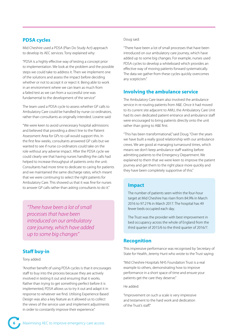## **PDSA cycles**

Mid Cheshire used a PDSA (Plan Do Study Act) approach to develop its AEC services. Tony explained why:

"PDSA is a highly effective way of testing a concept prior to implementation. We look at the problem and the possible steps we could take to address it. Then we implement one of the solutions and assess the impact before deciding whether or not to accept it or reject it. Being able to work in an environment where we can learn as much from a failed test as we can from a successful one was fundamental to the development of the service"

The team used a PDSA cycle to assess whether GP calls to Ambulatory Care could be handled by nurse co-ordinators, rather than consultants as originally intended. Loraine said:

"We were keen to avoid unnecessary hospital admissions and believed that providing a direct line to the Patient Assessment Area for GPs to call would support this. In the first few weeks, consultants answered GP calls but we wanted to see if nurse co-ordinators could take on the role without any adverse impact. After the PDSA cycle we could clearly see that having nurses handling the calls had helped to increase throughput of patients onto the unit. Consultants had more time to dedicate to caring for patients and we maintained the same discharge rates, which meant that we were continuing to select the right patients for Ambulatory Care. This showed us that it was fine for nurses to answer GP calls rather than asking consultants to do it."

*"There have been a lot of small processes that have been introduced on our ambulatory care journey, which have added up to some big changes"*

### **Staff buy-in**

#### Tony added:

"Another benefit of using PDSA cycles is that it encourages staff to buy into the process because they are actively involved in testing it out and ensuring that it works. Rather than trying to get something perfect before it is implemented, PDSA allows us to try it out and adapt it in response to whatever we find. Utilising Experience Based Design was also a key feature as it allowed us to collect the views of the service user and implement adjustments in order to constantly improve their experience."

#### Doug said:

"There have been a lot of small processes that have been introduced on our ambulatory care journey, which have added up to some big changes. For example, nurses used PDSA cycles to develop a whiteboard which provides an effective way of moving patients forward systematically. The data we gather from these cycles quickly overcomes any scepticism."

### **Involving the ambulance service**

The Ambulatory Care team also involved the ambulance service in re-routing patients from A&E. Once it had moved to its current site adjacent to AMU, the Ambulatory Care Unit had its own dedicated patient entrance and ambulance staff were encouraged to bring patients directly onto the unit rather than going to A&E first.

"This has been transformational," said Doug. "Over the years we have built a really good relationship with our ambulance crews. We are good at managing turnaround times, which means we don't keep ambulance staff waiting before admitting patients to the Emergency Department. We explained to them that we were keen to improve the patient journey and get them to the right place more quickly and they have been completely supportive of this."

#### **Impact**

The number of patients seen within the four-hour target at Mid Cheshire has risen from 84.9% in March 2016 to 97.21% in March 2017. The hospital has 49 fewer beds occupied each day.

The Trust was the provider with best improvement in bed occupancy across the whole of England from the third quarter of 2015/6 to the third quarter of 2016/7.

#### **Recognition**

This impressive performance was recognised by Secretary of State for Health, Jeremy Hunt who wrote to the Trust saying:

"Mid Cheshire Hospitals NHS Foundation Trust is a real example to others, demonstrating how to improve performance in a short space of time and ensure your patients get the care they deserve."

He added:

"Improvement on such a scale is very impressive and testament to the hard work and dedication of the Trust's staff."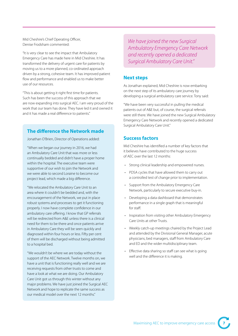Mid Cheshire's Chief Operating Officer, Denise Frodsham commented:

"It is very clear to see the impact that Ambulatory Emergency Care has made here in Mid Cheshire. It has transformed the delivery of urgent care for patients by moving us to a more planned, co-ordinated approach driven by a strong, cohesive team. It has improved patient flow and performance and enabled us to make better use of our resources.

"This is about getting it right first time for patients. Such has been the success of this approach that we are now expanding into surgical AEC. I am very proud of the work that our team has done. They have led it and owned it and it has made a real difference to patients."

## **The difference the Network made**

Jonathan O'Brien, Director of Operations added:

"When we began our journey in 2016, we had an Ambulatory Care Unit that was more or less continually bedded and didn't have a proper home within the hospital. The executive team were supportive of our wish to join the Network and we were able to second Loraine to become our project lead, which made a big difference.

"We relocated the Ambulatory Care Unit to an area where it couldn't be bedded and, with the encouragement of the Network, we put in place robust systems and processes to get it functioning properly. I now have complete confidence in our ambulatory care offering. I know that GP referrals will be redirected from A&E unless there is a clinical need for them to be there and once patients arrive in Ambulatory Care they will be seen quickly and diagnosed within four hours or less. Fifty per cent of them will be discharged without being admitted to a hospital bed.

"We wouldn't be where we are today without the support of the AEC Network. Twelve months on, we have a unit that is functioning really well and we are receiving requests from other trusts to come and have a look at what we are doing. Our Ambulatory Care Unit got us through this winter without any major problems. We have just joined the Surgical AEC Network and hope to replicate the same success as our medical model over the next 12 months."

*We have joined the new Surgical Ambulatory Emergency Care Network and recently opened a dedicated Surgical Ambulatory Care Unit."*

#### **Next steps**

As Jonathan explained, Mid Cheshire is now embarking on the next step of its ambulatory care journey by developing a surgical ambulatory care service. Tony said:

"We have been very successful in pulling the medical patients out of A&E but, of course, the surgical referrals were still there. We have joined the new Surgical Ambulatory Emergency Care Network and recently opened a dedicated Surgical Ambulatory Care Unit."

### **Success factors**

Mid Cheshire has identified a number of key factors that it believes have contributed to the huge success of AEC over the last 12 months:

- Strong clinical leadership and empowered nurses.
- PDSA cycles that have allowed them to carry out a controlled test of change prior to implementation.
- Support from the Ambulatory Emergency Care Network, particularly to secure executive buy-in.
- Developing a data dashboard that demonstrates performance in a single graph that is meaningful for staff.
- Inspiration from visiting other Ambulatory Emergency Care Units at other Trusts.
- Weekly catch-up meetings chaired by the Project Lead and attended by the Divisional General Manager, acute physicians, bed managers, staff from Ambulatory Care and ED and the wider multidisciplinary team.
- Effective data sharing so staff can see what is going well and the difference it is making.